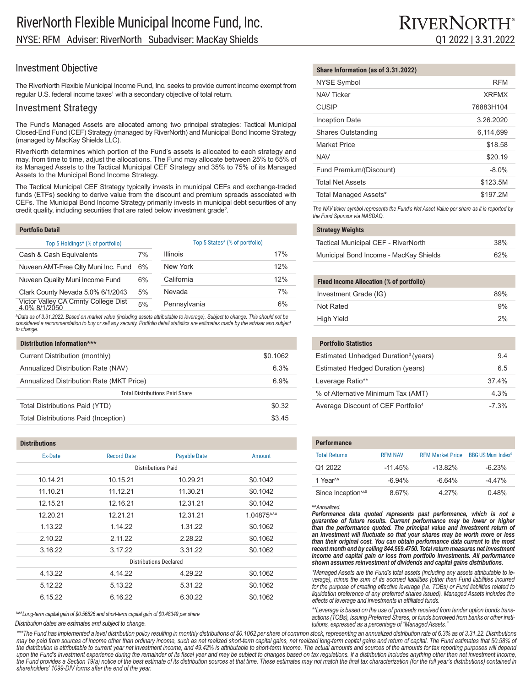# Investment Objective

The RiverNorth Flexible Municipal Income Fund, Inc. seeks to provide current income exempt from regular U.S. federal income taxes<sup>1</sup> with a secondary objective of total return.

## Investment Strategy

The Fund's Managed Assets are allocated among two principal strategies: Tactical Municipal Closed-End Fund (CEF) Strategy (managed by RiverNorth) and Municipal Bond Income Strategy (managed by MacKay Shields LLC).

RiverNorth determines which portion of the Fund's assets is allocated to each strategy and may, from time to time, adjust the allocations. The Fund may allocate between 25% to 65% of its Managed Assets to the Tactical Municipal CEF Strategy and 35% to 75% of its Managed Assets to the Municipal Bond Income Strategy.

The Tactical Municipal CEF Strategy typically invests in municipal CEFs and exchange-traded funds (ETFs) seeking to derive value from the discount and premium spreads associated with CEFs. The Municipal Bond Income Strategy primarily invests in municipal debt securities of any credit quality, including securities that are rated below investment grade<sup>2</sup>.

| Top 5 Holdings <sup>4</sup> (% of portfolio) |                 | Top 5 States <sup>4</sup> (% of portfolio) |  |
|----------------------------------------------|-----------------|--------------------------------------------|--|
| 7%                                           | <b>Illinois</b> | 17%                                        |  |
| 6%                                           | New York        | 12%                                        |  |
| 6%                                           | California      | 12%                                        |  |
| 5%                                           | Nevada          | 7%                                         |  |
| 5%                                           | Pennsylvania    | 6%                                         |  |
|                                              |                 |                                            |  |

^Data as of 3.31.2022. Based on market value (including assets attributable to leverage). Subject to change. This should not be<br>considered a recommendation to buy or sell any security. Portfolio detail statistics are estim *to change.*

| Distribution Information***              |          |  |
|------------------------------------------|----------|--|
| Current Distribution (monthly)           | \$0.1062 |  |
| Annualized Distribution Rate (NAV)       | 6.3%     |  |
| Annualized Distribution Rate (MKT Price) | 6.9%     |  |
| <b>Total Distributions Paid Share</b>    |          |  |
| Total Distributions Paid (YTD)           | \$0.32   |  |
| Total Distributions Paid (Inception)     | \$3.45   |  |

| <b>Distributions</b>          |                    |                     |            |
|-------------------------------|--------------------|---------------------|------------|
| Ex-Date                       | <b>Record Date</b> | <b>Payable Date</b> | Amount     |
| <b>Distributions Paid</b>     |                    |                     |            |
| 10.14.21                      | 10.15.21           | 10.29.21            | \$0.1042   |
| 11.10.21                      | 11.12.21           | 11.30.21            | \$0.1042   |
| 12.15.21                      | 12.16.21           | 12.31.21            | \$0.1042   |
| 12.20.21                      | 12.21.21           | 12.31.21            | 1.04875^^^ |
| 1.13.22                       | 1.14.22            | 1.31.22             | \$0.1062   |
| 2.10.22                       | 2.11.22            | 2.28.22             | \$0.1062   |
| 3.16.22                       | 3.17.22            | 3.31.22             | \$0.1062   |
| <b>Distributions Declared</b> |                    |                     |            |
| 4.13.22                       | 4.14.22            | 4.29.22             | \$0.1062   |
| 5.12.22                       | 5.13.22            | 5.31.22             | \$0.1062   |
| 6.15.22                       | 6.16.22            | 6.30.22             | \$0.1062   |
|                               |                    |                     |            |

*^^^Long-term capital gain of \$0.56526 and short-term capital gain of \$0.48349 per share*

*Distribution dates are estimates and subject to change.*

\*\*\*The Fund has implemented a level distribution policy resulting in monthly distributions of \$0.1062 per share of common stock, representing an annualized distribution rate of 6.3% as of 3.31.22. Distributions may be paid from sources of income other than ordinary income, such as net realized short-term capital gains, net realized long-term capital gains and return of capital. The Fund estimates that 50.58% of *the distribution is attributable to current year net investment income, and 49.42% is attributable to short-term income. The actual amounts and sources of the amounts for tax reporting purposes will depend*  upon the Fund's investment experience during the remainder of its fiscal year and may be subject to changes based on tax regulations. If a distribution includes anything other than net investment income, *the Fund provides a Section 19(a) notice of the best estimate of its distribution sources at that time. These estimates may not match the final tax characterization (for the full year's distributions) contained in shareholders' 1099-DIV forms after the end of the year.*

| Share Information (as of 3.31.2022) |  |
|-------------------------------------|--|
|-------------------------------------|--|

| <b>NYSE Symbol</b>        | <b>RFM</b>   |
|---------------------------|--------------|
| <b>NAV Ticker</b>         | <b>XRFMX</b> |
| <b>CUSIP</b>              | 76883H104    |
| <b>Inception Date</b>     | 3.26.2020    |
| <b>Shares Outstanding</b> | 6,114,699    |
| <b>Market Price</b>       | \$18.58      |
| <b>NAV</b>                | \$20.19      |
| Fund Premium/(Discount)   | $-8.0%$      |
| <b>Total Net Assets</b>   | \$123.5M     |
| Total Managed Assets*     | \$197.2M     |

*The NAV ticker symbol represents the Fund's Net Asset Value per share as it is reported by the Fund Sponsor via NASDAQ.*

### **Strategy Weights**

| Tactical Municipal CEF - RiverNorth    | 38% |
|----------------------------------------|-----|
| Municipal Bond Income - MacKay Shields | 62% |

#### **Fixed Income Allocation (% of portfolio)**

| Investment Grade (IG) | 89% |
|-----------------------|-----|
| Not Rated             | 9%  |
| High Yield            | 2%  |

| <b>Portfolio Statistics</b>                      |         |
|--------------------------------------------------|---------|
| Estimated Unhedged Duration <sup>3</sup> (years) | 94      |
| Estimated Hedged Duration (years)                | 65      |
| Leverage Ratio**                                 | 374%    |
| % of Alternative Minimum Tax (AMT)               | 4 3%    |
| Average Discount of CEF Portfolio <sup>4</sup>   | $-7.3%$ |

| <b>Performance</b>             |                |                         |                                |
|--------------------------------|----------------|-------------------------|--------------------------------|
| <b>Total Returns</b>           | <b>RFM NAV</b> | <b>RFM Market Price</b> | BBG US Muni Index <sup>5</sup> |
| Q1 2022                        | $-11.45%$      | $-13.82%$               | $-6.23%$                       |
| 1 Year <sup>M</sup>            | $-6.94%$       | $-6.64%$                | $-4.47%$                       |
| Since Inception <sup>146</sup> | 867%           | 4 27%                   | 0.48%                          |

*^^Annualized.*

Performance data quoted represents past performance, which is not a *guarantee of future results. Current performance may be lower or higher than the performance quoted. The principal value and investment return of an investment will fluctuate so that your shares may be worth more or less than their original cost. You can obtain performance data current to the most recent month end by calling 844.569.4750. Total return measures net investment income and capital gain or loss from portfolio investments. All performance shown assumes reinvestment of dividends and capital gains distributions.*

*\*Managed Assets are the Fund's total assets (including any assets attributable to le- verage), minus the sum of its accrued liabilities (other than Fund liabilities incurred for the purpose of creating effective leverage (i.e. TOBs) or Fund liabilities related to liquidation preference of any preferred shares issued). Managed Assets includes the effects of leverage and investments in affiliated funds.*

*\*\*Leverage is based on the use of proceeds received from tender option bonds transactions (TOBs), issuing Preferred Shares, or funds borrowed from banks or other institutions, expressed as a percentage of "Managed Assets."*